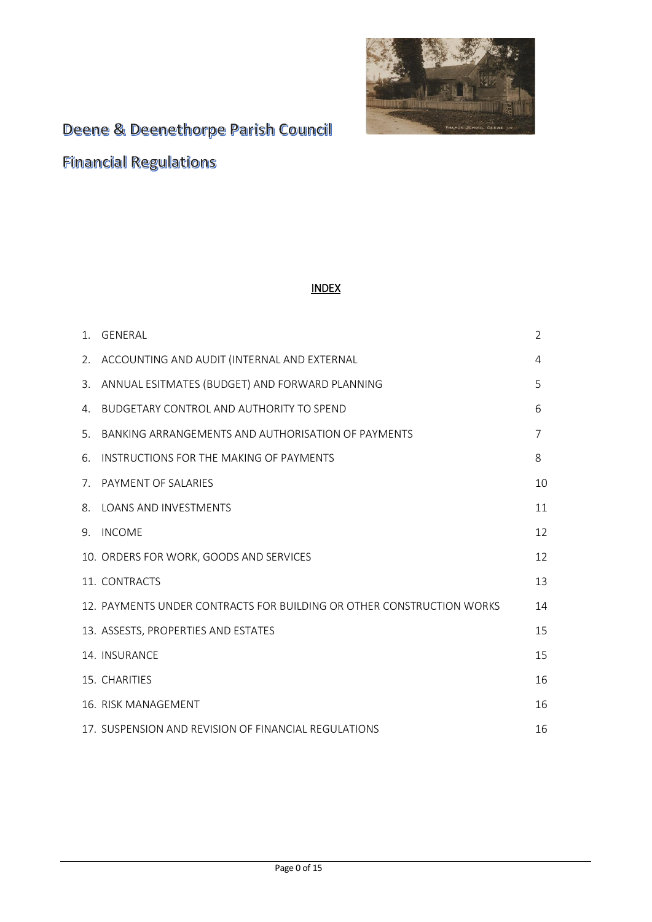

# Deene & Deenethorpe Parish Council

**Financial Regulations** 

# INDEX

| 1. | GENERAL                                                               | $\overline{2}$ |
|----|-----------------------------------------------------------------------|----------------|
| 2. | ACCOUNTING AND AUDIT (INTERNAL AND EXTERNAL                           | 4              |
| 3. | ANNUAL ESITMATES (BUDGET) AND FORWARD PLANNING                        | 5              |
| 4. | <b>BUDGETARY CONTROL AND AUTHORITY TO SPEND</b>                       | 6              |
| 5. | BANKING ARRANGEMENTS AND AUTHORISATION OF PAYMENTS                    | 7              |
| 6. | INSTRUCTIONS FOR THE MAKING OF PAYMENTS                               | 8              |
| 7. | PAYMENT OF SALARIES                                                   | 10             |
| 8. | LOANS AND INVESTMENTS                                                 | 11             |
| 9. | <b>INCOME</b>                                                         | 12             |
|    | 10. ORDERS FOR WORK, GOODS AND SERVICES                               | 12             |
|    | 11. CONTRACTS                                                         | 13             |
|    | 12. PAYMENTS UNDER CONTRACTS FOR BUILDING OR OTHER CONSTRUCTION WORKS | 14             |
|    | 13. ASSESTS, PROPERTIES AND ESTATES                                   | 15             |
|    | 14. INSURANCE                                                         | 15             |
|    | 15. CHARITIES                                                         | 16             |
|    | 16. RISK MANAGEMENT                                                   | 16             |
|    | 17. SUSPENSION AND REVISION OF FINANCIAL REGULATIONS                  | 16             |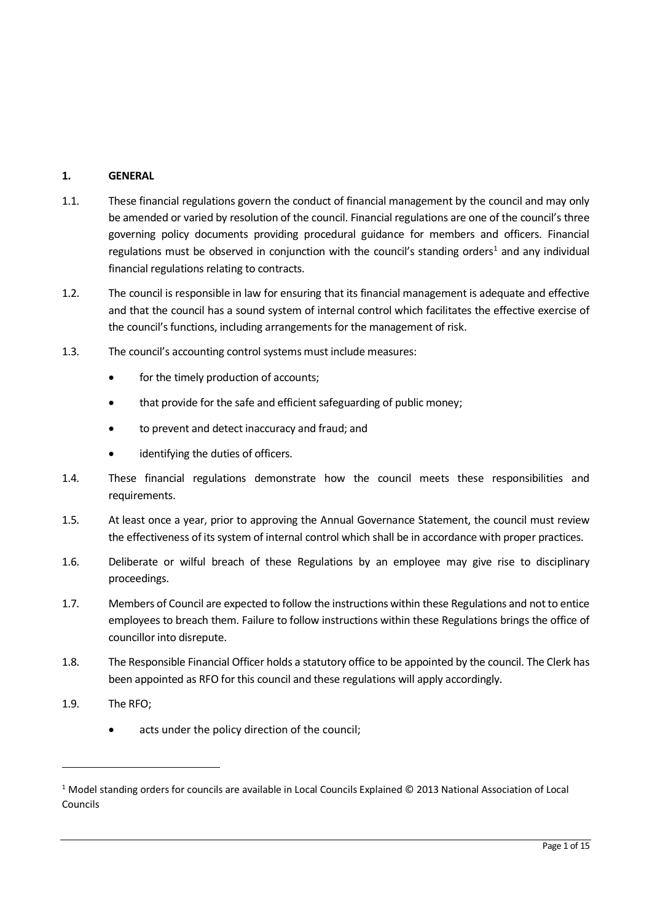# **1. GENERAL**

- 1.1. These financial regulations govern the conduct of financial management by the council and may only be amended or varied by resolution of the council. Financial regulations are one of the council's three governing policy documents providing procedural guidance for members and officers. Financial regulations must be observed in conjunction with the council's standing orders<sup>1</sup> and any individual financial regulations relating to contracts.
- 1.2. The council is responsible in law for ensuring that its financial management is adequate and effective and that the council has a sound system of internal control which facilitates the effective exercise of the council's functions, including arrangements for the management of risk.
- 1.3. The council's accounting control systems must include measures:
	- for the timely production of accounts;
	- that provide for the safe and efficient safeguarding of public money:
	- to prevent and detect inaccuracy and fraud; and
	- identifying the duties of officers.
- 1.4. These financial regulations demonstrate how the council meets these responsibilities and requirements.
- 1.5. At least once a year, prior to approving the Annual Governance Statement, the council must review the effectiveness of its system of internal control which shall be in accordance with proper practices.
- 1.6. Deliberate or wilful breach of these Regulations by an employee may give rise to disciplinary proceedings.
- 1.7. Members of Council are expected to follow the instructions within these Regulations and not to entice employees to breach them. Failure to follow instructions within these Regulations brings the office of councillor into disrepute.
- 1.8. The Responsible Financial Officer holds a statutory office to be appointed by the council. The Clerk has been appointed as RFO for this council and these regulations will apply accordingly.
- 1.9. The RFO;
	- acts under the policy direction of the council;

 $1$  Model standing orders for councils are available in Local Councils Explained © 2013 National Association of Local Councils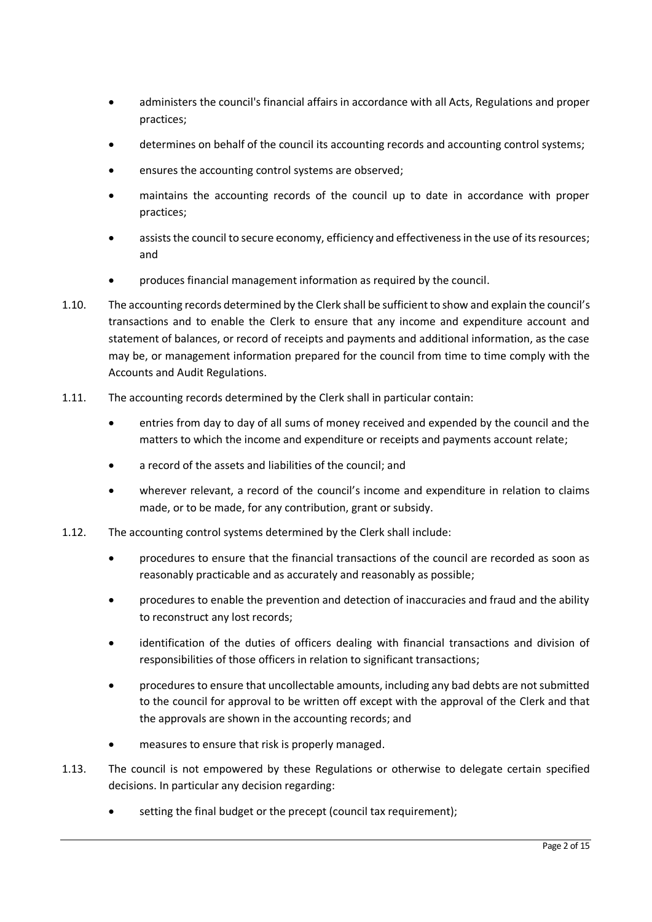- administers the council's financial affairs in accordance with all Acts, Regulations and proper practices;
- determines on behalf of the council its accounting records and accounting control systems;
- ensures the accounting control systems are observed;
- maintains the accounting records of the council up to date in accordance with proper practices;
- assists the council to secure economy, efficiency and effectiveness in the use of its resources; and
- produces financial management information as required by the council.
- 1.10. The accounting records determined by the Clerk shall be sufficient to show and explain the council's transactions and to enable the Clerk to ensure that any income and expenditure account and statement of balances, or record of receipts and payments and additional information, as the case may be, or management information prepared for the council from time to time comply with the Accounts and Audit Regulations.
- 1.11. The accounting records determined by the Clerk shall in particular contain:
	- entries from day to day of all sums of money received and expended by the council and the matters to which the income and expenditure or receipts and payments account relate;
	- a record of the assets and liabilities of the council; and
	- wherever relevant, a record of the council's income and expenditure in relation to claims made, or to be made, for any contribution, grant or subsidy.
- 1.12. The accounting control systems determined by the Clerk shall include:
	- procedures to ensure that the financial transactions of the council are recorded as soon as reasonably practicable and as accurately and reasonably as possible;
	- procedures to enable the prevention and detection of inaccuracies and fraud and the ability to reconstruct any lost records;
	- identification of the duties of officers dealing with financial transactions and division of responsibilities of those officers in relation to significant transactions;
	- procedures to ensure that uncollectable amounts, including any bad debts are not submitted to the council for approval to be written off except with the approval of the Clerk and that the approvals are shown in the accounting records; and
	- measures to ensure that risk is properly managed.
- 1.13. The council is not empowered by these Regulations or otherwise to delegate certain specified decisions. In particular any decision regarding:
	- setting the final budget or the precept (council tax requirement):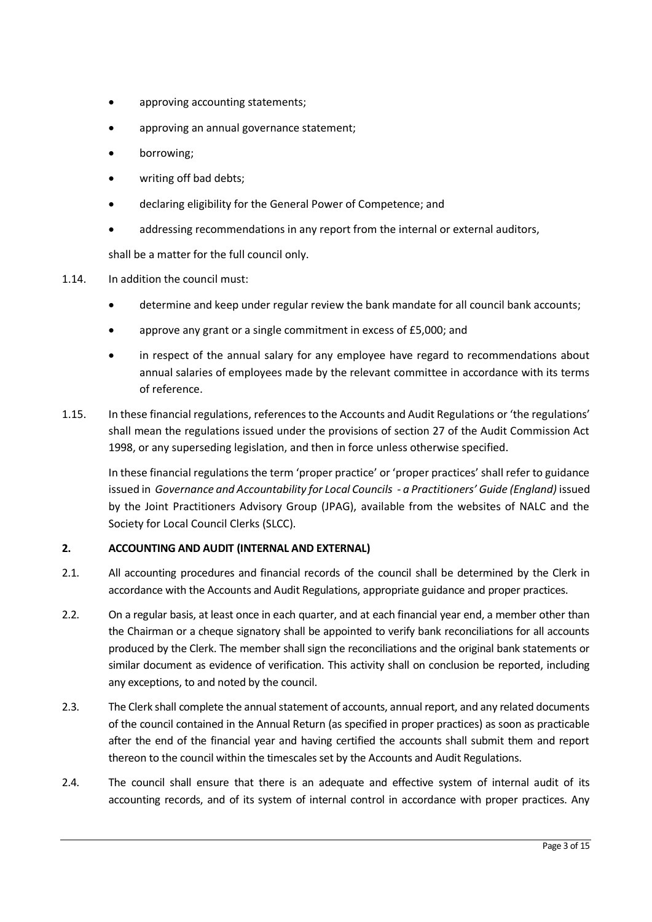- approving accounting statements;
- approving an annual governance statement;
- borrowing;
- writing off bad debts;
- declaring eligibility for the General Power of Competence; and
- addressing recommendations in any report from the internal or external auditors,

shall be a matter for the full council only.

- 1.14. In addition the council must:
	- determine and keep under regular review the bank mandate for all council bank accounts;
	- approve any grant or a single commitment in excess of £5,000; and
	- in respect of the annual salary for any employee have regard to recommendations about annual salaries of employees made by the relevant committee in accordance with its terms of reference.
- 1.15. In these financial regulations, references to the Accounts and Audit Regulations or 'the regulations' shall mean the regulations issued under the provisions of section 27 of the Audit Commission Act 1998, or any superseding legislation, and then in force unless otherwise specified.

In these financial regulations the term 'proper practice' or 'proper practices' shall refer to guidance issued in *Governance and Accountability for Local Councils - a Practitioners' Guide (England)* issued by the Joint Practitioners Advisory Group (JPAG), available from the websites of NALC and the Society for Local Council Clerks (SLCC).

# **2. ACCOUNTING AND AUDIT (INTERNAL AND EXTERNAL)**

- 2.1. All accounting procedures and financial records of the council shall be determined by the Clerk in accordance with the Accounts and Audit Regulations, appropriate guidance and proper practices.
- 2.2. On a regular basis, at least once in each quarter, and at each financial year end, a member other than the Chairman or a cheque signatory shall be appointed to verify bank reconciliations for all accounts produced by the Clerk. The member shall sign the reconciliations and the original bank statements or similar document as evidence of verification. This activity shall on conclusion be reported, including any exceptions, to and noted by the council.
- 2.3. The Clerk shall complete the annual statement of accounts, annual report, and any related documents of the council contained in the Annual Return (as specified in proper practices) as soon as practicable after the end of the financial year and having certified the accounts shall submit them and report thereon to the council within the timescales set by the Accounts and Audit Regulations.
- 2.4. The council shall ensure that there is an adequate and effective system of internal audit of its accounting records, and of its system of internal control in accordance with proper practices. Any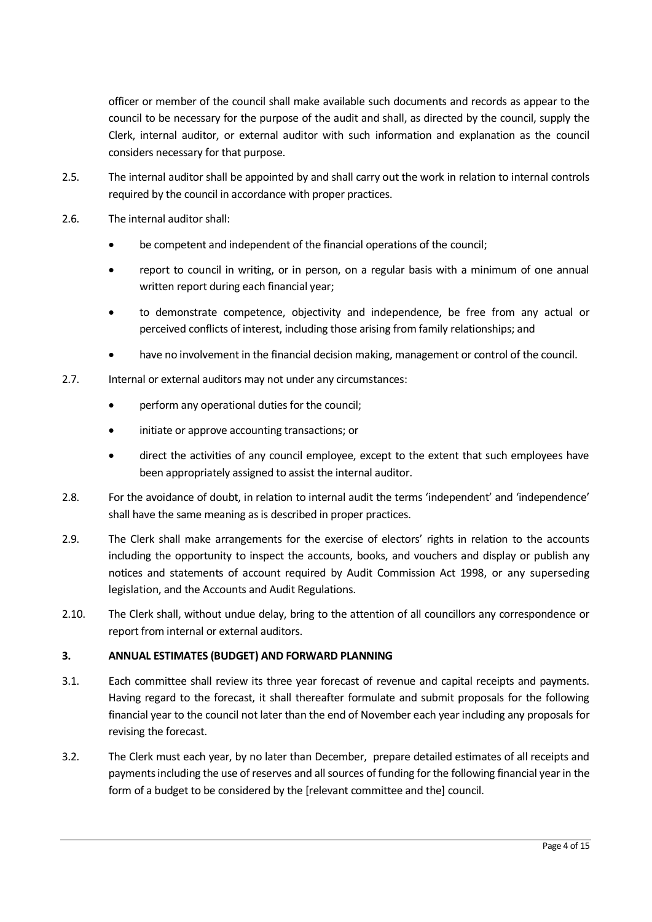officer or member of the council shall make available such documents and records as appear to the council to be necessary for the purpose of the audit and shall, as directed by the council, supply the Clerk, internal auditor, or external auditor with such information and explanation as the council considers necessary for that purpose.

- 2.5. The internal auditor shall be appointed by and shall carry out the work in relation to internal controls required by the council in accordance with proper practices.
- 2.6. The internal auditor shall:
	- be competent and independent of the financial operations of the council;
	- report to council in writing, or in person, on a regular basis with a minimum of one annual written report during each financial year;
	- to demonstrate competence, objectivity and independence, be free from any actual or perceived conflicts of interest, including those arising from family relationships; and
	- have no involvement in the financial decision making, management or control of the council.
- 2.7. Internal or external auditors may not under any circumstances:
	- perform any operational duties for the council;
	- initiate or approve accounting transactions; or
	- direct the activities of any council employee, except to the extent that such employees have been appropriately assigned to assist the internal auditor.
- 2.8. For the avoidance of doubt, in relation to internal audit the terms 'independent' and 'independence' shall have the same meaning as is described in proper practices.
- 2.9. The Clerk shall make arrangements for the exercise of electors' rights in relation to the accounts including the opportunity to inspect the accounts, books, and vouchers and display or publish any notices and statements of account required by Audit Commission Act 1998, or any superseding legislation, and the Accounts and Audit Regulations.
- 2.10. The Clerk shall, without undue delay, bring to the attention of all councillors any correspondence or report from internal or external auditors.

# **3. ANNUAL ESTIMATES (BUDGET) AND FORWARD PLANNING**

- 3.1. Each committee shall review its three year forecast of revenue and capital receipts and payments. Having regard to the forecast, it shall thereafter formulate and submit proposals for the following financial year to the council not later than the end of November each year including any proposals for revising the forecast.
- 3.2. The Clerk must each year, by no later than December, prepare detailed estimates of all receipts and payments including the use of reserves and all sources of funding for the following financial year in the form of a budget to be considered by the [relevant committee and the] council.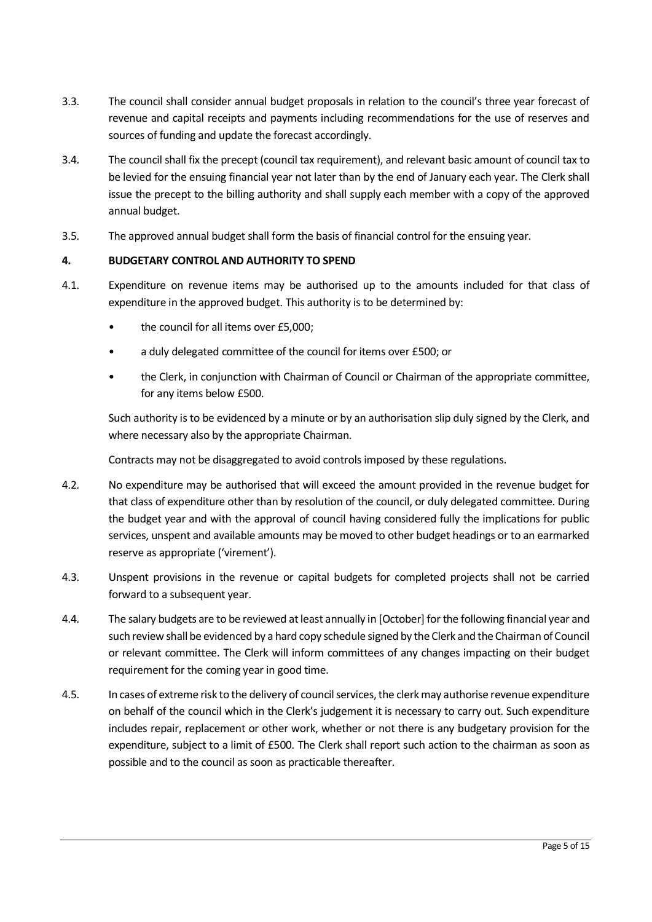- 3.3. The council shall consider annual budget proposals in relation to the council's three year forecast of revenue and capital receipts and payments including recommendations for the use of reserves and sources of funding and update the forecast accordingly.
- 3.4. The council shall fix the precept (council tax requirement), and relevant basic amount of council tax to be levied for the ensuing financial year not later than by the end of January each year. The Clerk shall issue the precept to the billing authority and shall supply each member with a copy of the approved annual budget.
- 3.5. The approved annual budget shall form the basis of financial control for the ensuing year.

#### **4. BUDGETARY CONTROL AND AUTHORITY TO SPEND**

- 4.1. Expenditure on revenue items may be authorised up to the amounts included for that class of expenditure in the approved budget. This authority is to be determined by:
	- the council for all items over £5,000;
	- a duly delegated committee of the council for items over £500; or
	- the Clerk, in conjunction with Chairman of Council or Chairman of the appropriate committee, for any items below £500.

Such authority is to be evidenced by a minute or by an authorisation slip duly signed by the Clerk, and where necessary also by the appropriate Chairman.

Contracts may not be disaggregated to avoid controls imposed by these regulations.

- 4.2. No expenditure may be authorised that will exceed the amount provided in the revenue budget for that class of expenditure other than by resolution of the council, or duly delegated committee. During the budget year and with the approval of council having considered fully the implications for public services, unspent and available amounts may be moved to other budget headings or to an earmarked reserve as appropriate ('virement').
- 4.3. Unspent provisions in the revenue or capital budgets for completed projects shall not be carried forward to a subsequent year.
- 4.4. The salary budgets are to be reviewed at least annually in [October] for the following financial year and such review shall be evidenced by a hard copy schedule signed by the Clerk and the Chairman of Council or relevant committee. The Clerk will inform committees of any changes impacting on their budget requirement for the coming year in good time.
- 4.5. In cases of extreme risk to the delivery of council services, the clerk may authorise revenue expenditure on behalf of the council which in the Clerk's judgement it is necessary to carry out. Such expenditure includes repair, replacement or other work, whether or not there is any budgetary provision for the expenditure, subject to a limit of £500. The Clerk shall report such action to the chairman as soon as possible and to the council as soon as practicable thereafter.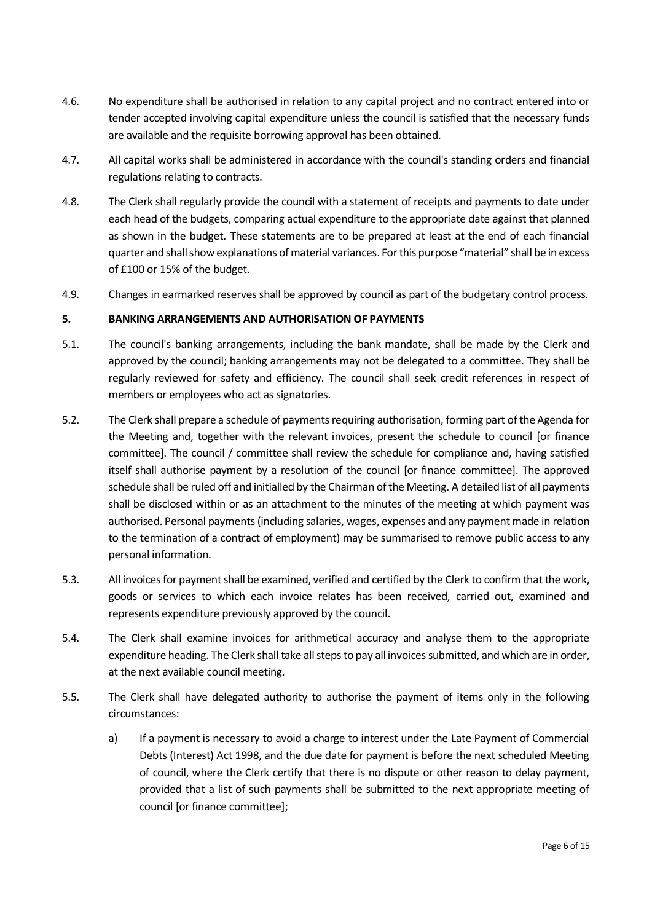- 4.6. No expenditure shall be authorised in relation to any capital project and no contract entered into or tender accepted involving capital expenditure unless the council is satisfied that the necessary funds are available and the requisite borrowing approval has been obtained.
- 4.7. All capital works shall be administered in accordance with the council's standing orders and financial regulations relating to contracts.
- 4.8. The Clerk shall regularly provide the council with a statement of receipts and payments to date under each head of the budgets, comparing actual expenditure to the appropriate date against that planned as shown in the budget. These statements are to be prepared at least at the end of each financial quarter and shall show explanations of material variances. For this purpose "material" shall be in excess of £100 or 15% of the budget.
- 4.9. Changes in earmarked reserves shall be approved by council as part of the budgetary control process.

# **5. BANKING ARRANGEMENTS AND AUTHORISATION OF PAYMENTS**

- 5.1. The council's banking arrangements, including the bank mandate, shall be made by the Clerk and approved by the council; banking arrangements may not be delegated to a committee. They shall be regularly reviewed for safety and efficiency. The council shall seek credit references in respect of members or employees who act as signatories.
- 5.2. The Clerk shall prepare a schedule of payments requiring authorisation, forming part of the Agenda for the Meeting and, together with the relevant invoices, present the schedule to council [or finance committee]. The council / committee shall review the schedule for compliance and, having satisfied itself shall authorise payment by a resolution of the council [or finance committee]. The approved schedule shall be ruled off and initialled by the Chairman of the Meeting. A detailed list of all payments shall be disclosed within or as an attachment to the minutes of the meeting at which payment was authorised. Personal payments (including salaries, wages, expenses and any payment made in relation to the termination of a contract of employment) may be summarised to remove public access to any personal information.
- 5.3. All invoices for payment shall be examined, verified and certified by the Clerk to confirm that the work, goods or services to which each invoice relates has been received, carried out, examined and represents expenditure previously approved by the council.
- 5.4. The Clerk shall examine invoices for arithmetical accuracy and analyse them to the appropriate expenditure heading. The Clerk shall take all steps to pay all invoices submitted, and which are in order, at the next available council meeting.
- 5.5. The Clerk shall have delegated authority to authorise the payment of items only in the following circumstances:
	- a) If a payment is necessary to avoid a charge to interest under the Late Payment of Commercial Debts (Interest) Act 1998, and the due date for payment is before the next scheduled Meeting of council, where the Clerk certify that there is no dispute or other reason to delay payment, provided that a list of such payments shall be submitted to the next appropriate meeting of council [or finance committee];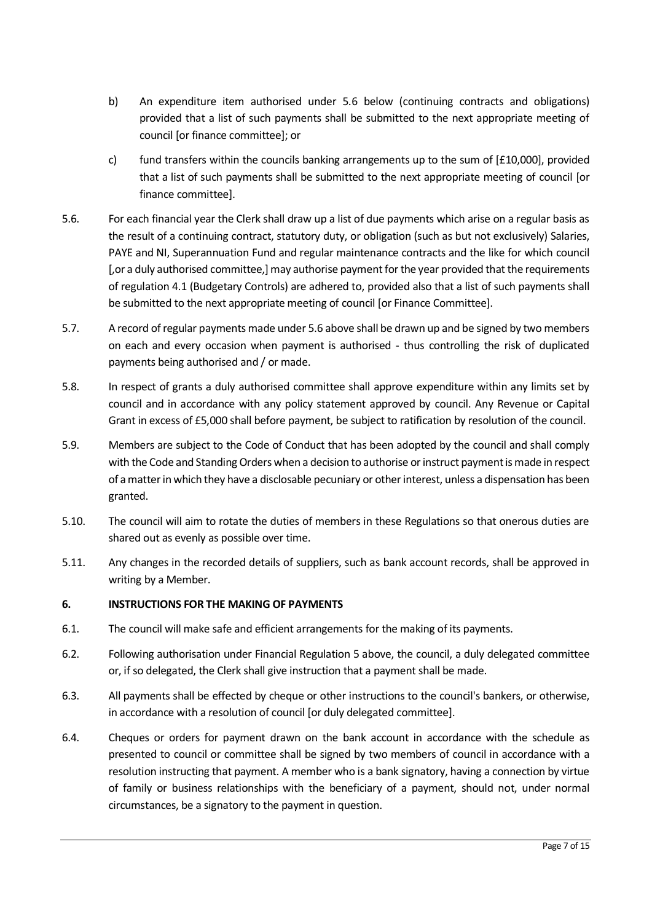- b) An expenditure item authorised under 5.6 below (continuing contracts and obligations) provided that a list of such payments shall be submitted to the next appropriate meeting of council [or finance committee]; or
- c) fund transfers within the councils banking arrangements up to the sum of  $[£10,000]$ , provided that a list of such payments shall be submitted to the next appropriate meeting of council [or finance committee].
- 5.6. For each financial year the Clerk shall draw up a list of due payments which arise on a regular basis as the result of a continuing contract, statutory duty, or obligation (such as but not exclusively) Salaries, PAYE and NI, Superannuation Fund and regular maintenance contracts and the like for which council [,or a duly authorised committee,] may authorise payment for the year provided that the requirements of regulation 4.1 (Budgetary Controls) are adhered to, provided also that a list of such payments shall be submitted to the next appropriate meeting of council [or Finance Committee].
- 5.7. A record of regular payments made under 5.6 above shall be drawn up and be signed by two members on each and every occasion when payment is authorised - thus controlling the risk of duplicated payments being authorised and / or made.
- 5.8. In respect of grants a duly authorised committee shall approve expenditure within any limits set by council and in accordance with any policy statement approved by council. Any Revenue or Capital Grant in excess of £5,000 shall before payment, be subject to ratification by resolution of the council.
- 5.9. Members are subject to the Code of Conduct that has been adopted by the council and shall comply with the Code and Standing Orders when a decision to authorise or instruct payment is made in respect of a matter in which they have a disclosable pecuniary or otherinterest, unless a dispensation has been granted.
- 5.10. The council will aim to rotate the duties of members in these Regulations so that onerous duties are shared out as evenly as possible over time.
- 5.11. Any changes in the recorded details of suppliers, such as bank account records, shall be approved in writing by a Member.

# **6. INSTRUCTIONS FOR THE MAKING OF PAYMENTS**

- 6.1. The council will make safe and efficient arrangements for the making of its payments.
- 6.2. Following authorisation under Financial Regulation 5 above, the council, a duly delegated committee or, if so delegated, the Clerk shall give instruction that a payment shall be made.
- 6.3. All payments shall be effected by cheque or other instructions to the council's bankers, or otherwise, in accordance with a resolution of council [or duly delegated committee].
- 6.4. Cheques or orders for payment drawn on the bank account in accordance with the schedule as presented to council or committee shall be signed by two members of council in accordance with a resolution instructing that payment. A member who is a bank signatory, having a connection by virtue of family or business relationships with the beneficiary of a payment, should not, under normal circumstances, be a signatory to the payment in question.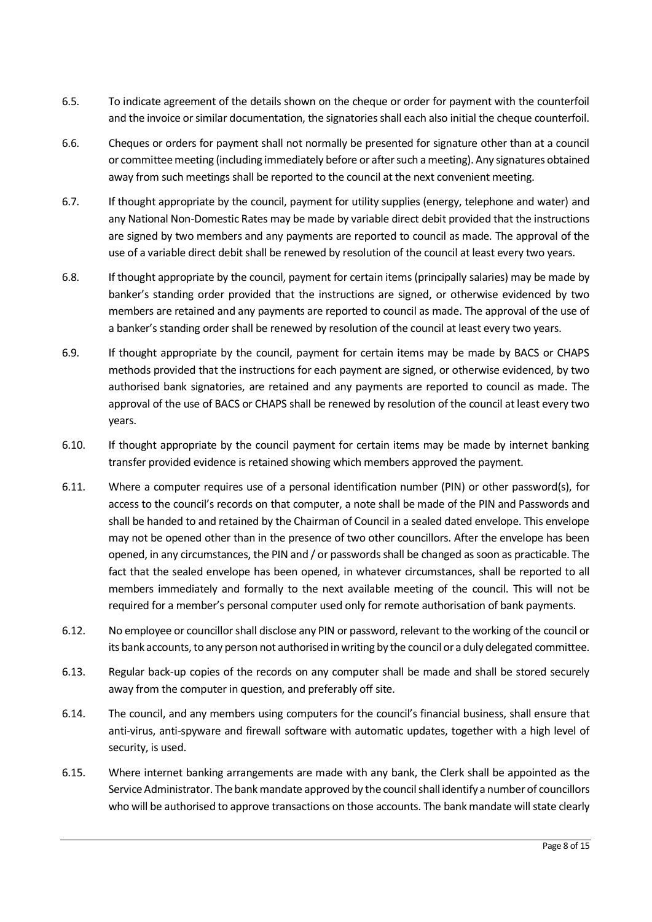- 6.5. To indicate agreement of the details shown on the cheque or order for payment with the counterfoil and the invoice or similar documentation, the signatories shall each also initial the cheque counterfoil.
- 6.6. Cheques or orders for payment shall not normally be presented for signature other than at a council or committee meeting (including immediately before or after such a meeting). Any signatures obtained away from such meetings shall be reported to the council at the next convenient meeting.
- 6.7. If thought appropriate by the council, payment for utility supplies (energy, telephone and water) and any National Non-Domestic Rates may be made by variable direct debit provided that the instructions are signed by two members and any payments are reported to council as made. The approval of the use of a variable direct debit shall be renewed by resolution of the council at least every two years.
- 6.8. If thought appropriate by the council, payment for certain items (principally salaries) may be made by banker's standing order provided that the instructions are signed, or otherwise evidenced by two members are retained and any payments are reported to council as made. The approval of the use of a banker's standing order shall be renewed by resolution of the council at least every two years.
- 6.9. If thought appropriate by the council, payment for certain items may be made by BACS or CHAPS methods provided that the instructions for each payment are signed, or otherwise evidenced, by two authorised bank signatories, are retained and any payments are reported to council as made. The approval of the use of BACS or CHAPS shall be renewed by resolution of the council at least every two years.
- 6.10. If thought appropriate by the council payment for certain items may be made by internet banking transfer provided evidence is retained showing which members approved the payment.
- 6.11. Where a computer requires use of a personal identification number (PIN) or other password(s), for access to the council's records on that computer, a note shall be made of the PIN and Passwords and shall be handed to and retained by the Chairman of Council in a sealed dated envelope. This envelope may not be opened other than in the presence of two other councillors. After the envelope has been opened, in any circumstances, the PIN and / or passwords shall be changed as soon as practicable. The fact that the sealed envelope has been opened, in whatever circumstances, shall be reported to all members immediately and formally to the next available meeting of the council. This will not be required for a member's personal computer used only for remote authorisation of bank payments.
- 6.12. No employee or councillorshall disclose any PIN or password, relevant to the working of the council or its bank accounts, to any person not authorised in writing by the council or a duly delegated committee.
- 6.13. Regular back-up copies of the records on any computer shall be made and shall be stored securely away from the computer in question, and preferably off site.
- 6.14. The council, and any members using computers for the council's financial business, shall ensure that anti-virus, anti-spyware and firewall software with automatic updates, together with a high level of security, is used.
- 6.15. Where internet banking arrangements are made with any bank, the Clerk shall be appointed as the Service Administrator. The bank mandate approved by the council shall identify a number of councillors who will be authorised to approve transactions on those accounts. The bank mandate will state clearly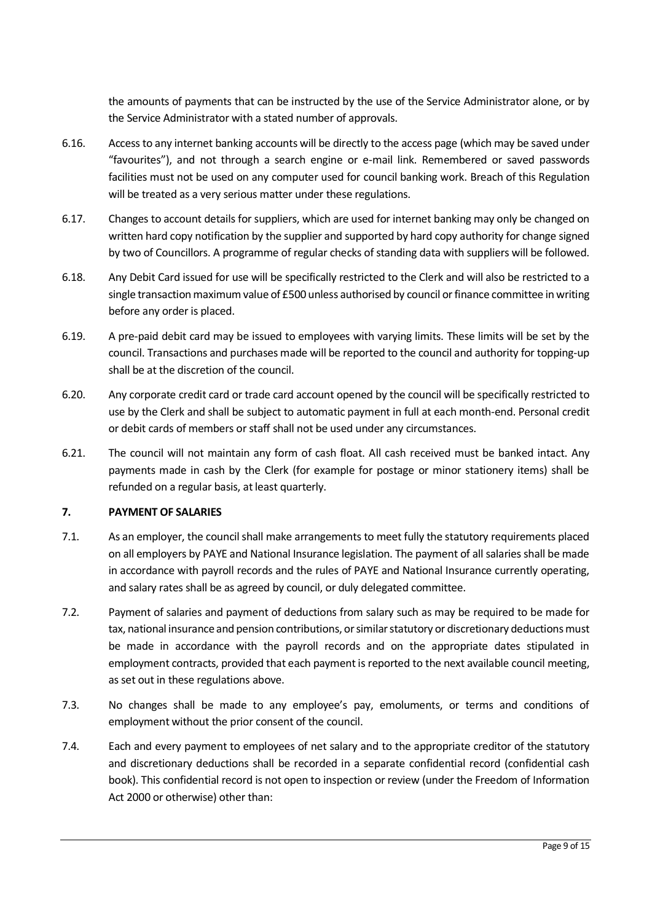the amounts of payments that can be instructed by the use of the Service Administrator alone, or by the Service Administrator with a stated number of approvals.

- 6.16. Access to any internet banking accounts will be directly to the access page (which may be saved under "favourites"), and not through a search engine or e-mail link. Remembered or saved passwords facilities must not be used on any computer used for council banking work. Breach of this Regulation will be treated as a very serious matter under these regulations.
- 6.17. Changes to account details for suppliers, which are used for internet banking may only be changed on written hard copy notification by the supplier and supported by hard copy authority for change signed by two of Councillors. A programme of regular checks of standing data with suppliers will be followed.
- 6.18. Any Debit Card issued for use will be specifically restricted to the Clerk and will also be restricted to a single transaction maximum value of £500 unless authorised by council or finance committee in writing before any order is placed.
- 6.19. A pre-paid debit card may be issued to employees with varying limits. These limits will be set by the council. Transactions and purchases made will be reported to the council and authority for topping-up shall be at the discretion of the council.
- 6.20. Any corporate credit card or trade card account opened by the council will be specifically restricted to use by the Clerk and shall be subject to automatic payment in full at each month-end. Personal credit or debit cards of members or staff shall not be used under any circumstances.
- 6.21. The council will not maintain any form of cash float. All cash received must be banked intact. Any payments made in cash by the Clerk (for example for postage or minor stationery items) shall be refunded on a regular basis, at least quarterly.

# **7. PAYMENT OF SALARIES**

- 7.1. As an employer, the council shall make arrangements to meet fully the statutory requirements placed on all employers by PAYE and National Insurance legislation. The payment of all salaries shall be made in accordance with payroll records and the rules of PAYE and National Insurance currently operating, and salary rates shall be as agreed by council, or duly delegated committee.
- 7.2. Payment of salaries and payment of deductions from salary such as may be required to be made for tax, national insurance and pension contributions, or similar statutory or discretionary deductions must be made in accordance with the payroll records and on the appropriate dates stipulated in employment contracts, provided that each payment is reported to the next available council meeting, as set out in these regulations above.
- 7.3. No changes shall be made to any employee's pay, emoluments, or terms and conditions of employment without the prior consent of the council.
- 7.4. Each and every payment to employees of net salary and to the appropriate creditor of the statutory and discretionary deductions shall be recorded in a separate confidential record (confidential cash book). This confidential record is not open to inspection or review (under the Freedom of Information Act 2000 or otherwise) other than: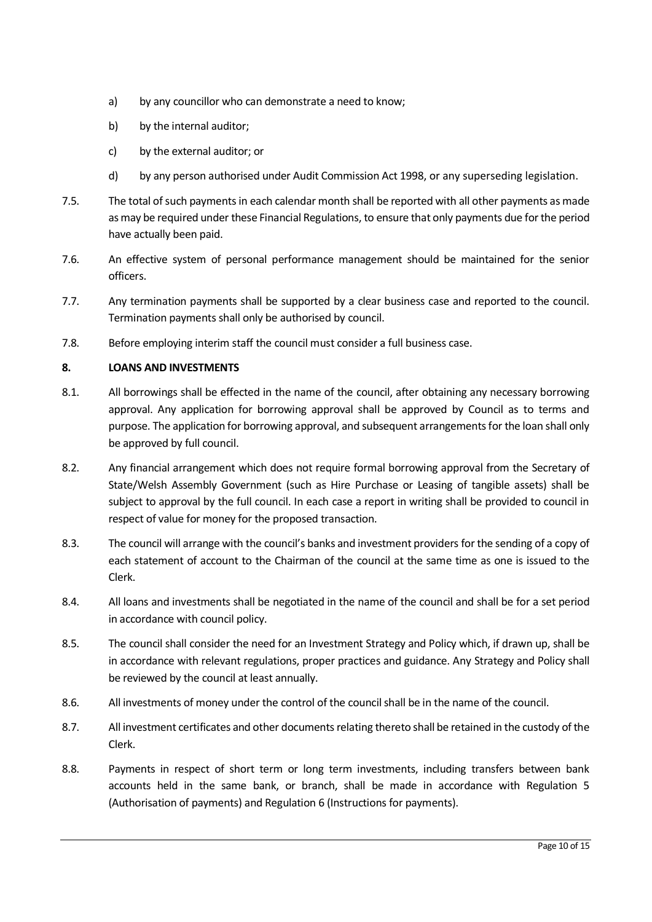- a) by any councillor who can demonstrate a need to know;
- b) by the internal auditor;
- c) by the external auditor; or
- d) by any person authorised under Audit Commission Act 1998, or any superseding legislation.
- 7.5. The total of such payments in each calendar month shall be reported with all other payments as made as may be required under these Financial Regulations, to ensure that only payments due for the period have actually been paid.
- 7.6. An effective system of personal performance management should be maintained for the senior officers.
- 7.7. Any termination payments shall be supported by a clear business case and reported to the council. Termination payments shall only be authorised by council.
- 7.8. Before employing interim staff the council must consider a full business case.

# **8. LOANS AND INVESTMENTS**

- 8.1. All borrowings shall be effected in the name of the council, after obtaining any necessary borrowing approval. Any application for borrowing approval shall be approved by Council as to terms and purpose. The application for borrowing approval, and subsequent arrangements for the loan shall only be approved by full council.
- 8.2. Any financial arrangement which does not require formal borrowing approval from the Secretary of State/Welsh Assembly Government (such as Hire Purchase or Leasing of tangible assets) shall be subject to approval by the full council. In each case a report in writing shall be provided to council in respect of value for money for the proposed transaction.
- 8.3. The council will arrange with the council's banks and investment providers for the sending of a copy of each statement of account to the Chairman of the council at the same time as one is issued to the Clerk.
- 8.4. All loans and investments shall be negotiated in the name of the council and shall be for a set period in accordance with council policy.
- 8.5. The council shall consider the need for an Investment Strategy and Policy which, if drawn up, shall be in accordance with relevant regulations, proper practices and guidance. Any Strategy and Policy shall be reviewed by the council at least annually.
- 8.6. All investments of money under the control of the council shall be in the name of the council.
- 8.7. All investment certificates and other documents relating thereto shall be retained in the custody of the Clerk.
- 8.8. Payments in respect of short term or long term investments, including transfers between bank accounts held in the same bank, or branch, shall be made in accordance with Regulation 5 (Authorisation of payments) and Regulation 6 (Instructions for payments).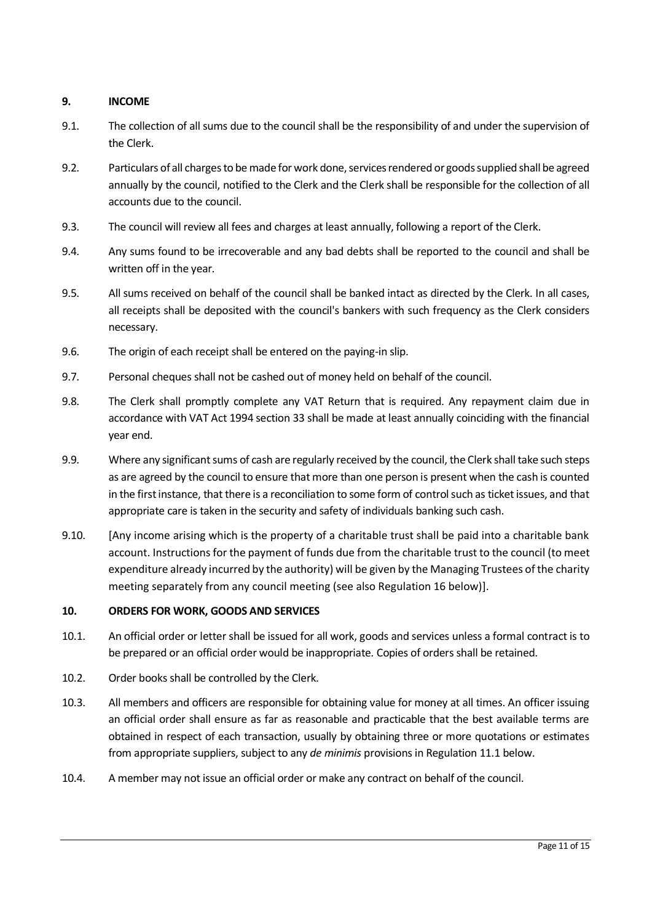# **9. INCOME**

- 9.1. The collection of all sums due to the council shall be the responsibility of and under the supervision of the Clerk.
- 9.2. Particulars of all charges to be made for work done, services rendered or goods supplied shall be agreed annually by the council, notified to the Clerk and the Clerk shall be responsible for the collection of all accounts due to the council.
- 9.3. The council will review all fees and charges at least annually, following a report of the Clerk.
- 9.4. Any sums found to be irrecoverable and any bad debts shall be reported to the council and shall be written off in the year.
- 9.5. All sums received on behalf of the council shall be banked intact as directed by the Clerk. In all cases, all receipts shall be deposited with the council's bankers with such frequency as the Clerk considers necessary.
- 9.6. The origin of each receipt shall be entered on the paying-in slip.
- 9.7. Personal cheques shall not be cashed out of money held on behalf of the council.
- 9.8. The Clerk shall promptly complete any VAT Return that is required. Any repayment claim due in accordance with VAT Act 1994 section 33 shall be made at least annually coinciding with the financial year end.
- 9.9. Where any significant sums of cash are regularly received by the council, the Clerk shall take such steps as are agreed by the council to ensure that more than one person is present when the cash is counted in the first instance, that there is a reconciliation to some form of control such as ticket issues, and that appropriate care is taken in the security and safety of individuals banking such cash.
- 9.10. [Any income arising which is the property of a charitable trust shall be paid into a charitable bank account. Instructions for the payment of funds due from the charitable trust to the council (to meet expenditure already incurred by the authority) will be given by the Managing Trustees of the charity meeting separately from any council meeting (see also Regulation 16 below)].

# **10. ORDERS FOR WORK, GOODS AND SERVICES**

- 10.1. An official order or letter shall be issued for all work, goods and services unless a formal contract is to be prepared or an official order would be inappropriate. Copies of orders shall be retained.
- 10.2. Order books shall be controlled by the Clerk.
- 10.3. All members and officers are responsible for obtaining value for money at all times. An officer issuing an official order shall ensure as far as reasonable and practicable that the best available terms are obtained in respect of each transaction, usually by obtaining three or more quotations or estimates from appropriate suppliers, subject to any *de minimis* provisions in Regulation 11.1 below.
- 10.4. A member may not issue an official order or make any contract on behalf of the council.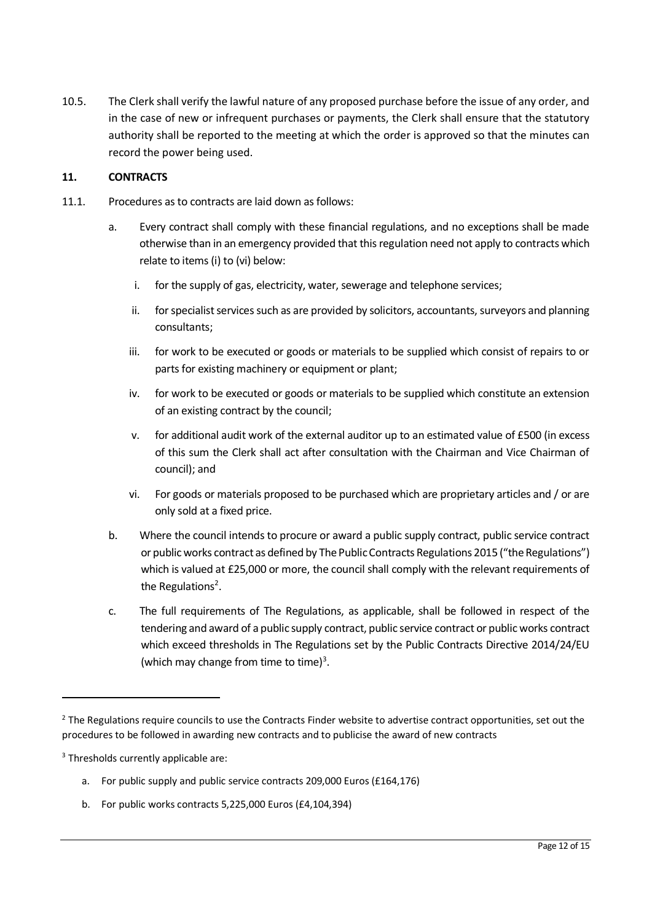10.5. The Clerk shall verify the lawful nature of any proposed purchase before the issue of any order, and in the case of new or infrequent purchases or payments, the Clerk shall ensure that the statutory authority shall be reported to the meeting at which the order is approved so that the minutes can record the power being used.

#### **11. CONTRACTS**

- 11.1. Procedures as to contracts are laid down as follows:
	- a. Every contract shall comply with these financial regulations, and no exceptions shall be made otherwise than in an emergency provided that this regulation need not apply to contracts which relate to items (i) to (vi) below:
		- i. for the supply of gas, electricity, water, sewerage and telephone services;
		- ii. for specialist services such as are provided by solicitors, accountants, surveyors and planning consultants;
		- iii. for work to be executed or goods or materials to be supplied which consist of repairs to or parts for existing machinery or equipment or plant;
		- iv. for work to be executed or goods or materials to be supplied which constitute an extension of an existing contract by the council;
		- v. for additional audit work of the external auditor up to an estimated value of £500 (in excess of this sum the Clerk shall act after consultation with the Chairman and Vice Chairman of council); and
		- vi. For goods or materials proposed to be purchased which are proprietary articles and / or are only sold at a fixed price.
	- b. Where the council intends to procure or award a public supply contract, public service contract or public works contract as defined by The Public Contracts Regulations 2015 ("the Regulations") which is valued at £25,000 or more, the council shall comply with the relevant requirements of the Regulations<sup>2</sup>.
	- c. The full requirements of The Regulations, as applicable, shall be followed in respect of the tendering and award of a public supply contract, public service contract or public works contract which exceed thresholds in The Regulations set by the Public Contracts Directive 2014/24/EU (which may change from time to time) $3$ .

- a. For public supply and public service contracts 209,000 Euros (£164,176)
- b. For public works contracts 5,225,000 Euros (£4,104,394)

<sup>&</sup>lt;sup>2</sup> The Regulations require councils to use the Contracts Finder website to advertise contract opportunities, set out the procedures to be followed in awarding new contracts and to publicise the award of new contracts

<sup>&</sup>lt;sup>3</sup> Thresholds currently applicable are: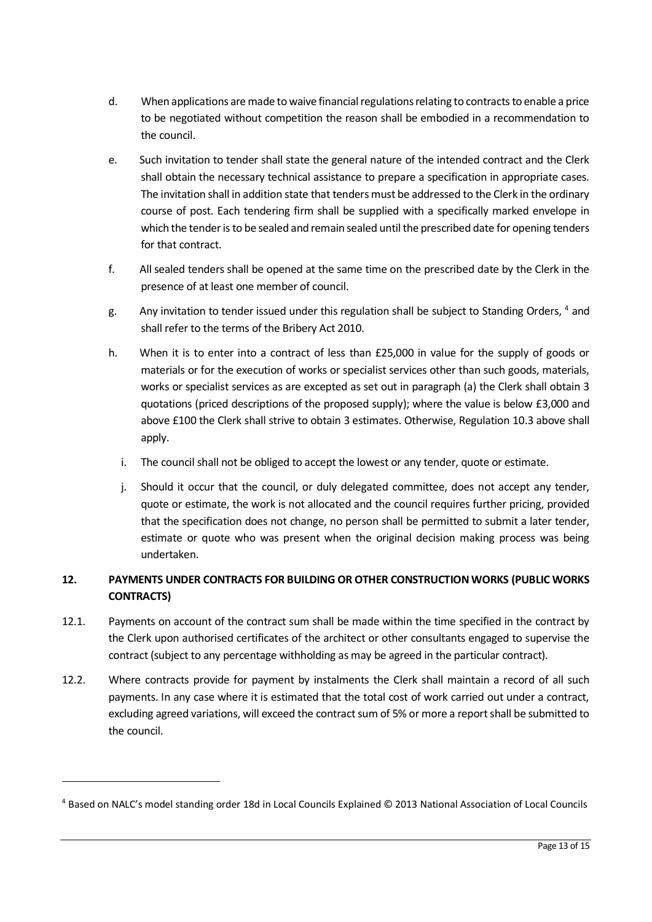- d. When applications are made to waive financial regulations relating to contracts to enable a price to be negotiated without competition the reason shall be embodied in a recommendation to the council.
- e. Such invitation to tender shall state the general nature of the intended contract and the Clerk shall obtain the necessary technical assistance to prepare a specification in appropriate cases. The invitation shall in addition state that tenders must be addressed to the Clerk in the ordinary course of post. Each tendering firm shall be supplied with a specifically marked envelope in which the tender is to be sealed and remain sealed until the prescribed date for opening tenders for that contract.
- f. All sealed tenders shall be opened at the same time on the prescribed date by the Clerk in the presence of at least one member of council.
- g. Any invitation to tender issued under this regulation shall be subject to Standing Orders, <sup>4</sup> and shall refer to the terms of the Bribery Act 2010.
- h. When it is to enter into a contract of less than £25,000 in value for the supply of goods or materials or for the execution of works or specialist services other than such goods, materials, works or specialist services as are excepted as set out in paragraph (a) the Clerk shall obtain 3 quotations (priced descriptions of the proposed supply); where the value is below £3,000 and above £100 the Clerk shall strive to obtain 3 estimates. Otherwise, Regulation 10.3 above shall apply.
	- i. The council shall not be obliged to accept the lowest or any tender, quote or estimate.
	- j. Should it occur that the council, or duly delegated committee, does not accept any tender, quote or estimate, the work is not allocated and the council requires further pricing, provided that the specification does not change, no person shall be permitted to submit a later tender, estimate or quote who was present when the original decision making process was being undertaken.

# **12. PAYMENTS UNDER CONTRACTS FOR BUILDING OR OTHER CONSTRUCTION WORKS (PUBLIC WORKS CONTRACTS)**

- 12.1. Payments on account of the contract sum shall be made within the time specified in the contract by the Clerk upon authorised certificates of the architect or other consultants engaged to supervise the contract (subject to any percentage withholding as may be agreed in the particular contract).
- 12.2. Where contracts provide for payment by instalments the Clerk shall maintain a record of all such payments. In any case where it is estimated that the total cost of work carried out under a contract, excluding agreed variations, will exceed the contract sum of 5% or more a report shall be submitted to the council.

<sup>4</sup> Based on NALC's model standing order 18d in Local Councils Explained © 2013 National Association of Local Councils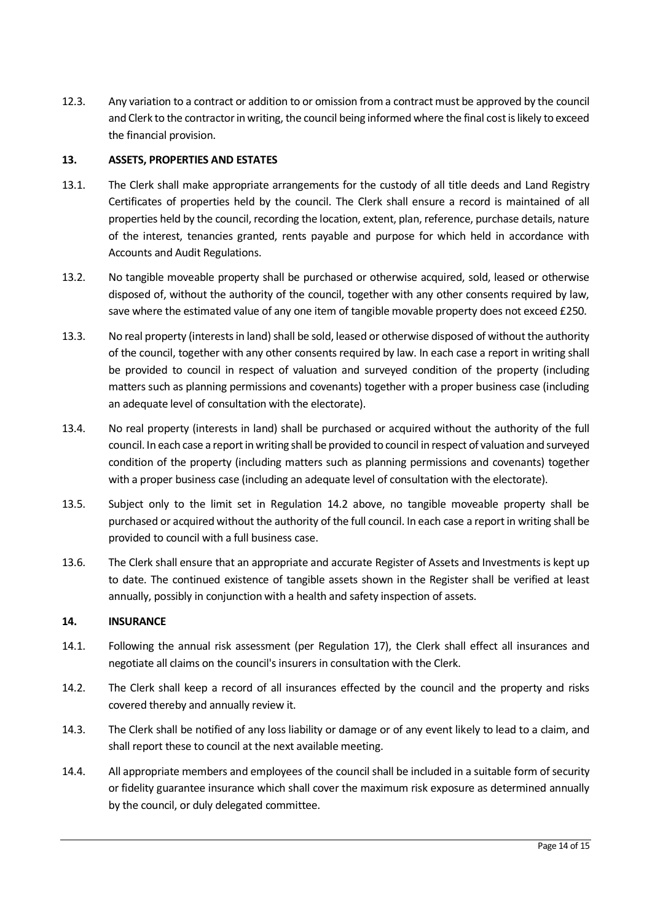12.3. Any variation to a contract or addition to or omission from a contract must be approved by the council and Clerk to the contractor in writing, the council being informed where the final cost is likely to exceed the financial provision.

#### **13. ASSETS, PROPERTIES AND ESTATES**

- 13.1. The Clerk shall make appropriate arrangements for the custody of all title deeds and Land Registry Certificates of properties held by the council. The Clerk shall ensure a record is maintained of all properties held by the council, recording the location, extent, plan, reference, purchase details, nature of the interest, tenancies granted, rents payable and purpose for which held in accordance with Accounts and Audit Regulations.
- 13.2. No tangible moveable property shall be purchased or otherwise acquired, sold, leased or otherwise disposed of, without the authority of the council, together with any other consents required by law, save where the estimated value of any one item of tangible movable property does not exceed £250.
- 13.3. No real property (interests in land) shall be sold, leased or otherwise disposed of without the authority of the council, together with any other consents required by law. In each case a report in writing shall be provided to council in respect of valuation and surveyed condition of the property (including matters such as planning permissions and covenants) together with a proper business case (including an adequate level of consultation with the electorate).
- 13.4. No real property (interests in land) shall be purchased or acquired without the authority of the full council. In each case a report in writing shall be provided to council in respect of valuation and surveyed condition of the property (including matters such as planning permissions and covenants) together with a proper business case (including an adequate level of consultation with the electorate).
- 13.5. Subject only to the limit set in Regulation 14.2 above, no tangible moveable property shall be purchased or acquired without the authority of the full council. In each case a report in writing shall be provided to council with a full business case.
- 13.6. The Clerk shall ensure that an appropriate and accurate Register of Assets and Investments is kept up to date. The continued existence of tangible assets shown in the Register shall be verified at least annually, possibly in conjunction with a health and safety inspection of assets.

#### **14. INSURANCE**

- 14.1. Following the annual risk assessment (per Regulation 17), the Clerk shall effect all insurances and negotiate all claims on the council's insurers in consultation with the Clerk.
- 14.2. The Clerk shall keep a record of all insurances effected by the council and the property and risks covered thereby and annually review it.
- 14.3. The Clerk shall be notified of any loss liability or damage or of any event likely to lead to a claim, and shall report these to council at the next available meeting.
- 14.4. All appropriate members and employees of the council shall be included in a suitable form of security or fidelity guarantee insurance which shall cover the maximum risk exposure as determined annually by the council, or duly delegated committee.